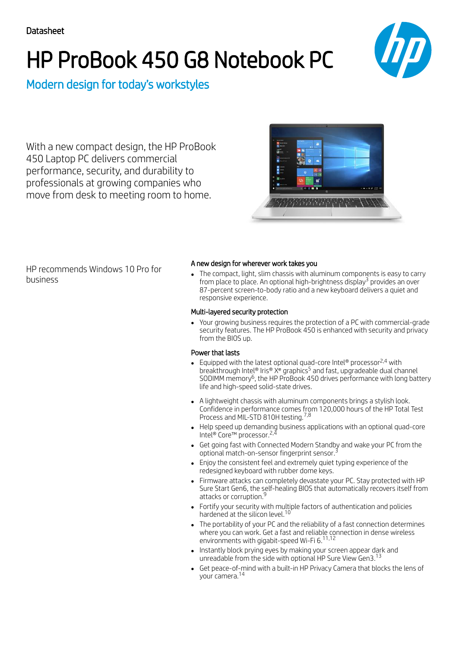# HP ProBook 450 G8 Notebook PC



Modern design for today's workstyles

With a new compact design, the HP ProBook 450 Laptop PC delivers commercial performance, security, and durability to professionals at growing companies who move from desk to meeting room to home.



HP recommends Windows 10 Pro for business

### A new design for wherever work takes you

The compact, light, slim chassis with aluminum components is easy to carry from place to place. An optional high-brightness display $^3$  provides an over 87-percent screen-to-body ratio and a new keyboard delivers a quiet and responsive experience.

#### Multi-layered security protection

Your growing business requires the protection of a PC with commercial-grade security features. The HP ProBook 450 is enhanced with security and privacy from the BIOS up.

### Power that lasts

- Equipped with the latest optional quad-core Intel® processor<sup>2,4</sup> with breakthrough Intel® Iris® X<sup>e</sup> graphics<sup>5</sup> and fast, upgradeable dual channel SODIMM memory<sup>6</sup>, the HP ProBook 450 drives performance with long battery life and high-speed solid-state drives.
- A lightweight chassis with aluminum components brings a stylish look. Confidence in performance comes from 120,000 hours of the HP Total Test Process and MIL-STD 810H testing.<sup>7,8</sup>
- Help speed up demanding business applications with an optional quad-core Intel® Core™ processor. 2,4
- Get going fast with Connected Modern Standby and wake your PC from the optional match-on-sensor fingerprint sensor. 3
- Enjoy the consistent feel and extremely quiet typing experience of the redesigned keyboard with rubber dome keys.
- Firmware attacks can completely devastate your PC. Stay protected with HP Sure Start Gen6, the self-healing BIOS that automatically recovers itself from attacks or corruption.<sup>9</sup>
- Fortify your security with multiple factors of authentication and policies hardened at the silicon level.<sup>10</sup>
- The portability of your PC and the reliability of a fast connection determines where you can work. Get a fast and reliable connection in dense wireless environments with gigabit-speed Wi-Fi 6. 11,12
- Instantly block prying eyes by making your screen appear dark and unreadable from the side with optional HP Sure View Gen3. 13
- Get peace-of-mind with a built-in HP Privacy Camera that blocks the lens of your camera. 14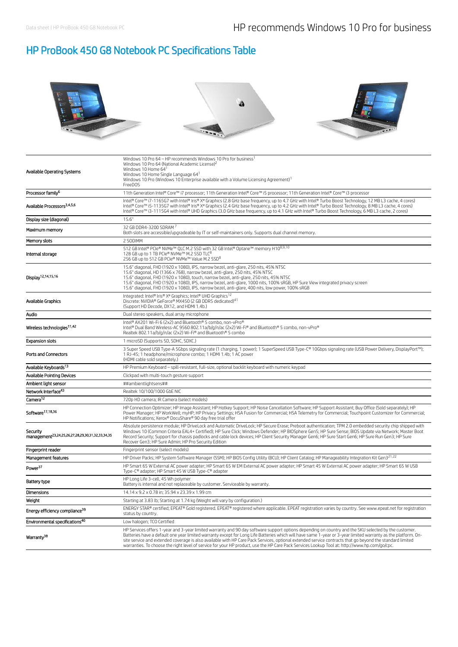## HP ProBook 450 G8 Notebook PC Specifications Table



| Internal storage                                                         | 512 GB Intel® PCIe® NVMe™ QLC M.2 SSD with 32 GB Intel® Optane™ memory H108,9,10<br>128 GB up to 1 TB PCIe® NVMe™ M.2 SSD TLC <sup>8</sup><br>256 GB up to 512 GB PCIe® NVMe™ Value M.2 SSD <sup>8</sup>                                                                                                                                                                                                                                                                                                                                                                                                                           |
|--------------------------------------------------------------------------|------------------------------------------------------------------------------------------------------------------------------------------------------------------------------------------------------------------------------------------------------------------------------------------------------------------------------------------------------------------------------------------------------------------------------------------------------------------------------------------------------------------------------------------------------------------------------------------------------------------------------------|
| Display <sup>12,14,15,16</sup>                                           | 15.6" diagonal, FHD (1920 x 1080), IPS, narrow bezel, anti-glare, 250 nits, 45% NTSC<br>15.6" diagonal, HD (1366 x 768), narrow bezel, anti-glare, 250 nits, 45% NTSC<br>15.6" diagonal, FHD (1920 x 1080), touch, narrow bezel, anti-glare, 250 nits, 45% NTSC<br>15.6" diagonal, FHD (1920 x 1080), IPS, narrow bezel, anti-glare, 1000 nits, 100% sRGB, HP Sure View integrated privacy screen<br>15.6" diagonal, FHD (1920 x 1080), IPS, narrow bezel, anti-glare, 400 nits, low power, 100% sRGB                                                                                                                              |
| Available Graphics                                                       | Integrated: Intel® Iris® X <sup>e</sup> Graphics; Intel® UHD Graphics <sup>12</sup><br>Discrete: NVIDIA® GeForce® MX450 (2 GB DDR5 dedicated) <sup>41</sup><br>(Support HD Decode, DX12, and HDMI 1.4b.)                                                                                                                                                                                                                                                                                                                                                                                                                           |
| Audio                                                                    | Dual stereo speakers, dual array microphone                                                                                                                                                                                                                                                                                                                                                                                                                                                                                                                                                                                        |
| Wireless technologies <sup>11,42</sup>                                   | Intel® AX201 Wi-Fi 6 (2x2) and Bluetooth® 5 combo, non-vPro®<br>Intel® Dual Band Wireless-AC 9560 802.11a/b/g/n/ac (2x2) Wi-Fi® and Bluetooth® 5 combo, non-vPro®<br>Realtek 802.11a/b/g/n/ac (2x2) Wi-Fi® and Bluetooth® 5 combo                                                                                                                                                                                                                                                                                                                                                                                                  |
| <b>Expansion slots</b>                                                   | 1 microSD (Supports SD, SDHC, SDXC,)                                                                                                                                                                                                                                                                                                                                                                                                                                                                                                                                                                                               |
| Ports and Connectors                                                     | 3 Super Speed USB Type-A 5Gbps signaling rate (1 charging, 1 power); 1 SuperSpeed USB Type-C® 10Gbps signaling rate (USB Power Delivery, DisplayPort™);<br>1 RJ-45; 1 headphone/microphone combo; 1 HDMI 1.4b; 1 AC power<br>(HDMI cable sold separately.)                                                                                                                                                                                                                                                                                                                                                                         |
| Available Kevboards <sup>13</sup>                                        | HP Premium Keyboard - spill-resistant, full-size, optional backlit keyboard with numeric keypad                                                                                                                                                                                                                                                                                                                                                                                                                                                                                                                                    |
| <b>Available Pointing Devices</b>                                        | Clickpad with multi-touch gesture support                                                                                                                                                                                                                                                                                                                                                                                                                                                                                                                                                                                          |
| Ambient light sensor                                                     | ##ambientlightsens##                                                                                                                                                                                                                                                                                                                                                                                                                                                                                                                                                                                                               |
| Network Interface <sup>43</sup>                                          | Realtek 10/100/1000 GbE NIC                                                                                                                                                                                                                                                                                                                                                                                                                                                                                                                                                                                                        |
| Camera <sup>12</sup>                                                     | 720p HD camera: IR Camera (select models)                                                                                                                                                                                                                                                                                                                                                                                                                                                                                                                                                                                          |
| Software <sup>17,18,36</sup>                                             | HP Connection Optimizer; HP Image Assistant; HP Hotkey Support; HP Noise Cancellation Software; HP Support Assistant; Buy Office (Sold separately); HP<br>Power Manager; HP WorkWell; myHP; HP Privacy Settings; HSA Fusion for Commercial; HSA Telemetry for Commercial; Touchpoint Customizer for Commercial;<br>HP Notifications; Xerox® DocuShare® 90 day free trial offer                                                                                                                                                                                                                                                     |
| Security<br>management <sup>23,24,25,26,27,28,29,30,31,32,33,34,35</sup> | Absolute persistence module; HP DriveLock and Automatic DriveLock; HP Secure Erase; Preboot authentication; TPM 2.0 embedded security chip shipped with<br>Windows 10 (Common Criteria EAL4+ Certified); HP Sure Click; Windows Defender; HP BIOSphere Gen5; HP Sure Sense; BIOS Update via Network; Master Boot<br>Record Security: Support for chassis padlocks and cable lock devices: HP Client Security Manager Gen6: HP Sure Start Gen6: HP Sure Run Gen3: HP Sure<br>Recover Gen3; HP Sure Admin; HP Pro Security Edition                                                                                                   |
| Fingerprint reader                                                       | Fingerprint sensor (select models)                                                                                                                                                                                                                                                                                                                                                                                                                                                                                                                                                                                                 |
| Management features                                                      | HP Driver Packs; HP System Software Manager (SSM); HP BIOS Config Utility (BCU); HP Client Catalog; HP Manageability Integration Kit Gen321,22                                                                                                                                                                                                                                                                                                                                                                                                                                                                                     |
| Power <sup>37</sup>                                                      | HP Smart 65 W External AC power adapter; HP Smart 65 W EM External AC power adapter; HP Smart 45 W External AC power adapter; HP Smart 65 W USB<br>Type-C® adapter; HP Smart 45 W USB Type-C® adapter                                                                                                                                                                                                                                                                                                                                                                                                                              |
| Battery type                                                             | HP Long Life 3-cell, 45 Wh polymer<br>Battery is internal and not replaceable by customer. Serviceable by warranty.                                                                                                                                                                                                                                                                                                                                                                                                                                                                                                                |
| <b>Dimensions</b>                                                        | 14.14 x 9.2 x 0.78 in; 35.94 x 23.39 x 1.99 cm                                                                                                                                                                                                                                                                                                                                                                                                                                                                                                                                                                                     |
| Weight                                                                   | Starting at 3.83 lb; Starting at 1.74 kg (Weight will vary by configuration.)                                                                                                                                                                                                                                                                                                                                                                                                                                                                                                                                                      |
| Energy efficiency compliance <sup>39</sup>                               | ENERGY STAR® certified; EPEAT® Gold registered. EPEAT® registered where applicable. EPEAT registration varies by country. See www.epeat.net for registration<br>status by country.                                                                                                                                                                                                                                                                                                                                                                                                                                                 |
| Environmental specifications <sup>40</sup>                               | Low halogen; TCO Certified                                                                                                                                                                                                                                                                                                                                                                                                                                                                                                                                                                                                         |
| Warranty <sup>38</sup>                                                   | HP Services offers 1-year and 3-year limited warranty and 90 day software support options depending on country and the SKU selected by the customer.<br>Batteries have a default one year limited warranty except for Long Life Batteries which will have same 1-year or 3-year limited warranty as the platform. On-<br>site service and extended coverage is also available with HP Care Pack Services, optional extended service contracts that go beyond the standard limited<br>warranties. To choose the right level of service for your HP product, use the HP Care Pack Services Lookup Tool at: http://www.hp.com/go/cpc. |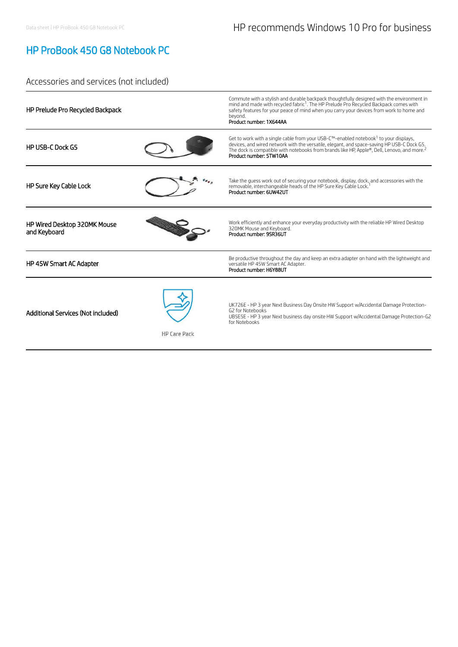# HP ProBook 450 G8 Notebook PC

## Accessories and services (not included)

| HP Prelude Pro Recycled Backpack                          | Commute with a stylish and durable backpack thoughtfully designed with the environment in<br>mind and made with recycled fabric <sup>1</sup> . The HP Prelude Pro Recycled Backpack comes with<br>safety features for your peace of mind when you carry your devices from work to home and<br>bevond.<br>Product number: 1X644AA     |
|-----------------------------------------------------------|--------------------------------------------------------------------------------------------------------------------------------------------------------------------------------------------------------------------------------------------------------------------------------------------------------------------------------------|
| <b>HP USB-C Dock G5</b>                                   | Get to work with a single cable from your USB-C™-enabled notebook <sup>1</sup> to your displays,<br>devices, and wired network with the versatile, elegant, and space-saving HP USB-C Dock G5.<br>The dock is compatible with notebooks from brands like HP, Apple®, Dell, Lenovo, and more. <sup>2</sup><br>Product number: 5TW10AA |
| HP Sure Key Cable Lock                                    | Take the guess work out of securing your notebook, display, dock, and accessories with the<br>removable, interchangeable heads of the HP Sure Key Cable Lock.<br>Product number: 6UW42UT                                                                                                                                             |
| HP Wired Desktop 320MK Mouse<br>and Keyboard              | Work efficiently and enhance your everyday productivity with the reliable HP Wired Desktop<br>320MK Mouse and Keyboard.<br>Product number: 9SR36UT                                                                                                                                                                                   |
| HP 45W Smart AC Adapter                                   | Be productive throughout the day and keep an extra adapter on hand with the lightweight and<br>versatile HP 45W Smart AC Adapter.<br>Product number: H6Y88UT                                                                                                                                                                         |
| Additional Services (Not included)<br><b>HP Care Pack</b> | UK726E - HP 3 year Next Business Day Onsite HW Support w/Accidental Damage Protection-<br>G2 for Notebooks<br>UB5E5E - HP 3 year Next business day onsite HW Support w/Accidental Damage Protection-G2<br>for Notebooks                                                                                                              |